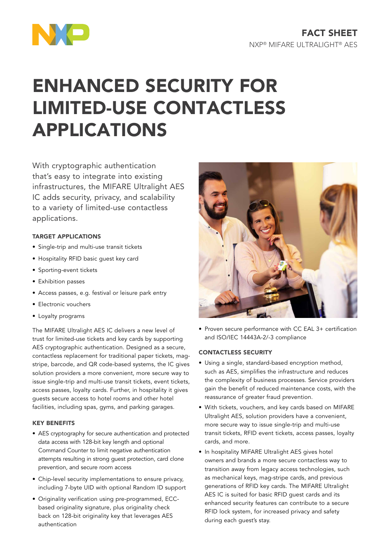

# ENHANCED SECURITY FOR LIMITED-USE CONTACTLESS APPLICATIONS

With cryptographic authentication that's easy to integrate into existing infrastructures, the MIFARE Ultralight AES IC adds security, privacy, and scalability to a variety of limited-use contactless applications.

# TARGET APPLICATIONS

- Single-trip and multi-use transit tickets
- Hospitality RFID basic guest key card
- Sporting-event tickets
- Exhibition passes
- Access passes, e.g. festival or leisure park entry
- Electronic vouchers
- Loyalty programs

The MIFARE Ultralight AES IC delivers a new level of trust for limited-use tickets and key cards by supporting AES cryptographic authentication. Designed as a secure, contactless replacement for traditional paper tickets, magstripe, barcode, and QR code-based systems, the IC gives solution providers a more convenient, more secure way to issue single-trip and multi-use transit tickets, event tickets, access passes, loyalty cards. Further, in hospitality it gives guests secure access to hotel rooms and other hotel facilities, including spas, gyms, and parking garages.

# KEY BENEFITS

- AES cryptography for secure authentication and protected data access with 128-bit key length and optional Command Counter to limit negative authentication attempts resulting in strong guest protection, card clone prevention, and secure room access
- Chip-level security implementations to ensure privacy, including 7-byte UID with optional Random ID support
- Originality verification using pre-programmed, ECCbased originality signature, plus originality check back on 128-bit originality key that leverages AES authentication



• Proven secure performance with CC EAL 3+ certification and ISO/IEC 14443A-2/-3 compliance

# CONTACTLESS SECURITY

- Using a single, standard-based encryption method, such as AES, simplifies the infrastructure and reduces the complexity of business processes. Service providers gain the benefit of reduced maintenance costs, with the reassurance of greater fraud prevention.
- With tickets, vouchers, and key cards based on MIFARE Ultralight AES, solution providers have a convenient, more secure way to issue single-trip and multi-use transit tickets, RFID event tickets, access passes, loyalty cards, and more.
- In hospitality MIFARE Ultralight AES gives hotel owners and brands a more secure contactless way to transition away from legacy access technologies, such as mechanical keys, mag-stripe cards, and previous generations of RFID key cards. The MIFARE Ultralight AES IC is suited for basic RFID guest cards and its enhanced security features can contribute to a secure RFID lock system, for increased privacy and safety during each guest's stay.